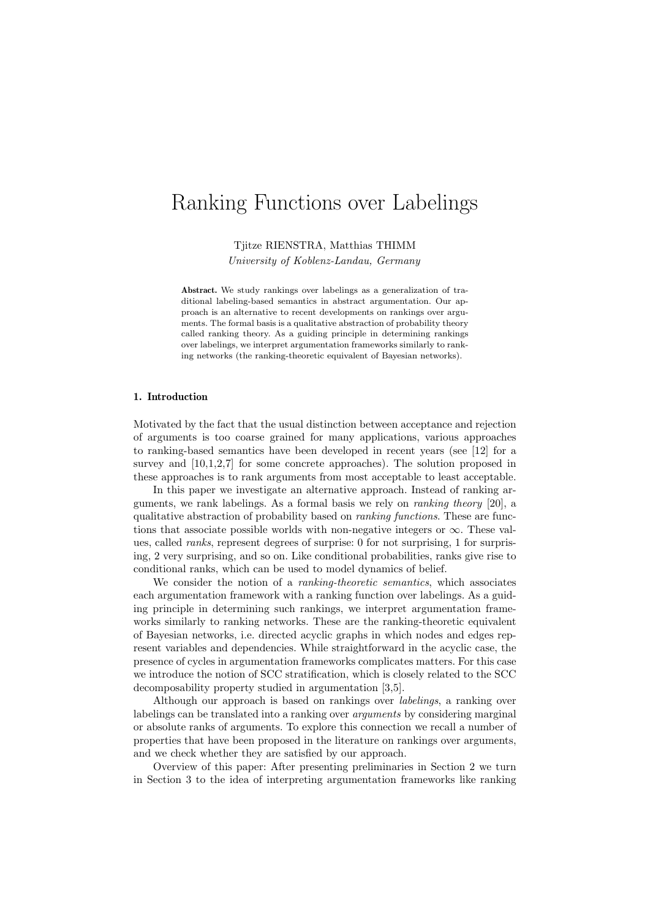# Ranking Functions over Labelings

Tjitze RIENSTRA, Matthias THIMM

University of Koblenz-Landau, Germany

Abstract. We study rankings over labelings as a generalization of traditional labeling-based semantics in abstract argumentation. Our approach is an alternative to recent developments on rankings over arguments. The formal basis is a qualitative abstraction of probability theory called ranking theory. As a guiding principle in determining rankings over labelings, we interpret argumentation frameworks similarly to ranking networks (the ranking-theoretic equivalent of Bayesian networks).

#### 1. Introduction

Motivated by the fact that the usual distinction between acceptance and rejection of arguments is too coarse grained for many applications, various approaches to ranking-based semantics have been developed in recent years (see [12] for a survey and  $[10,1,2,7]$  for some concrete approaches). The solution proposed in these approaches is to rank arguments from most acceptable to least acceptable.

In this paper we investigate an alternative approach. Instead of ranking arguments, we rank labelings. As a formal basis we rely on ranking theory [20], a qualitative abstraction of probability based on ranking functions. These are functions that associate possible worlds with non-negative integers or  $\infty$ . These values, called ranks, represent degrees of surprise: 0 for not surprising, 1 for surprising, 2 very surprising, and so on. Like conditional probabilities, ranks give rise to conditional ranks, which can be used to model dynamics of belief.

We consider the notion of a *ranking-theoretic semantics*, which associates each argumentation framework with a ranking function over labelings. As a guiding principle in determining such rankings, we interpret argumentation frameworks similarly to ranking networks. These are the ranking-theoretic equivalent of Bayesian networks, i.e. directed acyclic graphs in which nodes and edges represent variables and dependencies. While straightforward in the acyclic case, the presence of cycles in argumentation frameworks complicates matters. For this case we introduce the notion of SCC stratification, which is closely related to the SCC decomposability property studied in argumentation [3,5].

Although our approach is based on rankings over labelings, a ranking over labelings can be translated into a ranking over arguments by considering marginal or absolute ranks of arguments. To explore this connection we recall a number of properties that have been proposed in the literature on rankings over arguments, and we check whether they are satisfied by our approach.

Overview of this paper: After presenting preliminaries in Section 2 we turn in Section 3 to the idea of interpreting argumentation frameworks like ranking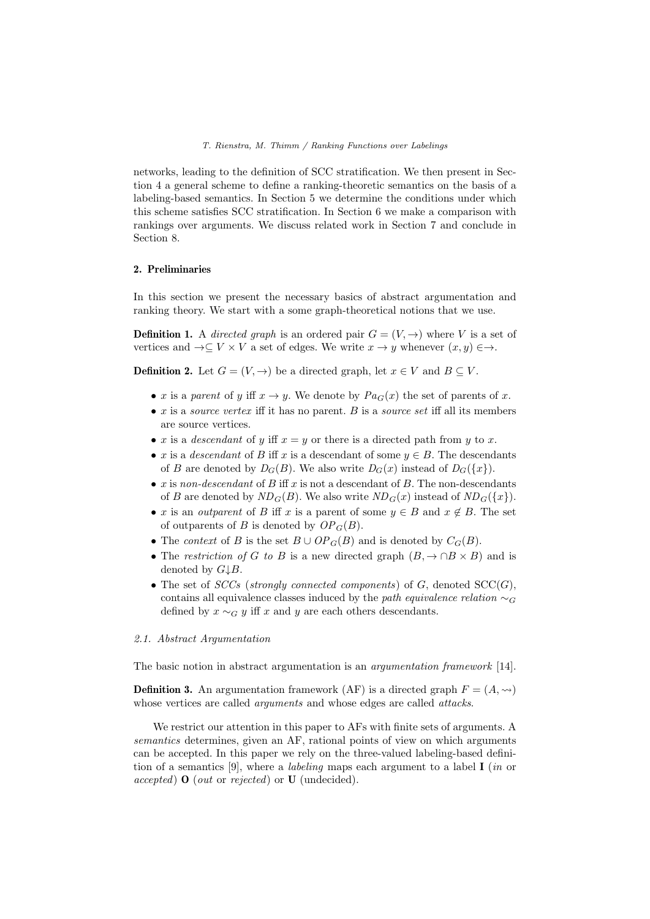networks, leading to the definition of SCC stratification. We then present in Section 4 a general scheme to define a ranking-theoretic semantics on the basis of a labeling-based semantics. In Section 5 we determine the conditions under which this scheme satisfies SCC stratification. In Section 6 we make a comparison with rankings over arguments. We discuss related work in Section 7 and conclude in Section 8.

# 2. Preliminaries

In this section we present the necessary basics of abstract argumentation and ranking theory. We start with a some graph-theoretical notions that we use.

**Definition 1.** A *directed graph* is an ordered pair  $G = (V, \rightarrow)$  where V is a set of vertices and  $\rightarrow \subseteq V \times V$  a set of edges. We write  $x \rightarrow y$  whenever  $(x, y) \in \rightarrow$ .

**Definition 2.** Let  $G = (V, \rightarrow)$  be a directed graph, let  $x \in V$  and  $B \subseteq V$ .

- x is a parent of y iff  $x \to y$ . We denote by  $Pa_G(x)$  the set of parents of x.
- $x$  is a *source vertex* iff it has no parent. B is a *source set* iff all its members are source vertices.
- x is a *descendant* of y iff  $x = y$  or there is a directed path from y to x.
- x is a descendant of B iff x is a descendant of some  $y \in B$ . The descendants of B are denoted by  $D_G(B)$ . We also write  $D_G(x)$  instead of  $D_G({x}).$
- $x$  is non-descendant of  $B$  iff  $x$  is not a descendant of  $B$ . The non-descendants of B are denoted by  $ND_G(B)$ . We also write  $ND_G(x)$  instead of  $ND_G({x})$ .
- x is an *outparent* of B iff x is a parent of some  $y \in B$  and  $x \notin B$ . The set of outparents of B is denoted by  $OP_G(B)$ .
- The *context* of B is the set  $B \cup OP_G(B)$  and is denoted by  $C_G(B)$ .
- The restriction of G to B is a new directed graph  $(B, \to \cap B \times B)$  and is denoted by  $G \downarrow B$ .
- The set of  $SCCs$  (strongly connected components) of G, denoted  $SCC(G)$ , contains all equivalence classes induced by the path equivalence relation  $\sim_G$ defined by  $x \sim_G y$  iff x and y are each others descendants.

## 2.1. Abstract Argumentation

The basic notion in abstract argumentation is an argumentation framework [14].

**Definition 3.** An argumentation framework (AF) is a directed graph  $F = (A, \leadsto)$ whose vertices are called *arguments* and whose edges are called *attacks*.

We restrict our attention in this paper to AFs with finite sets of arguments. A semantics determines, given an AF, rational points of view on which arguments can be accepted. In this paper we rely on the three-valued labeling-based definition of a semantics [9], where a *labeling* maps each argument to a label **I** (in or  $accepted)$  **O** (*out* or *rejected*) or **U** (undecided).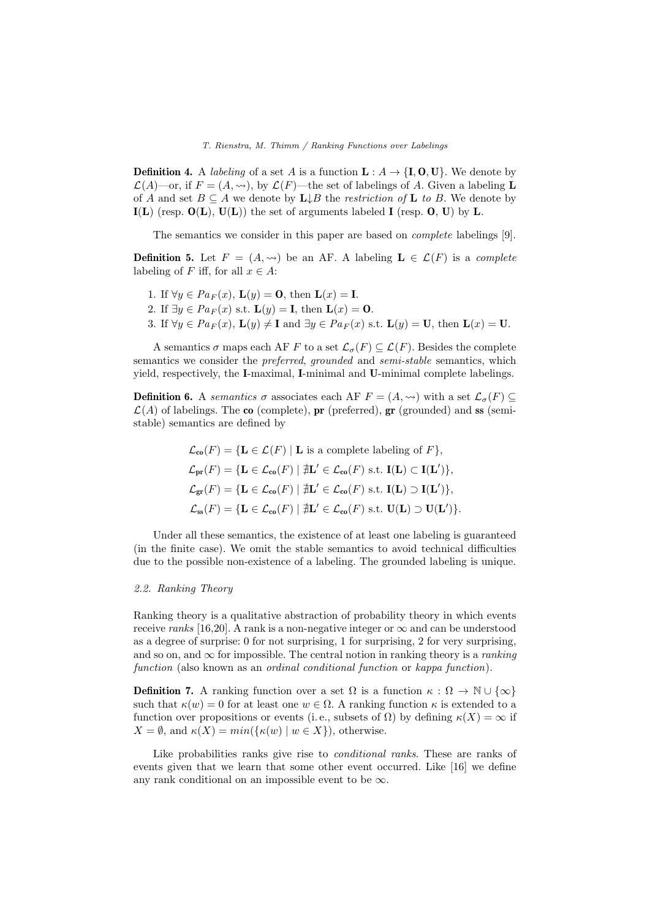**Definition 4.** A *labeling* of a set A is a function  $\mathbf{L}: A \to \{\mathbf{I}, \mathbf{0}, \mathbf{U}\}\)$ . We denote by  $\mathcal{L}(A)$ —or, if  $F = (A, \rightsquigarrow)$ , by  $\mathcal{L}(F)$ —the set of labelings of A. Given a labeling **L** of A and set  $B \subseteq A$  we denote by  $L \downarrow B$  the restriction of L to B. We denote by  $I(L)$  (resp.  $O(L)$ ,  $U(L)$ ) the set of arguments labeled I (resp.  $O, U$ ) by L.

The semantics we consider in this paper are based on complete labelings [9].

**Definition 5.** Let  $F = (A, \leadsto)$  be an AF. A labeling  $\mathbf{L} \in \mathcal{L}(F)$  is a complete labeling of F iff, for all  $x \in A$ :

- 1. If  $\forall y \in Pa_F(x)$ ,  $\mathbf{L}(y) = \mathbf{0}$ , then  $\mathbf{L}(x) = \mathbf{I}$ .
- 2. If  $\exists y \in Pa_F(x)$  s.t.  $\mathbf{L}(y) = \mathbf{I}$ , then  $\mathbf{L}(x) = \mathbf{0}$ .
- 3. If  $\forall y \in Pa_F(x)$ ,  $\mathbf{L}(y) \neq \mathbf{I}$  and  $\exists y \in Pa_F(x)$  s.t.  $\mathbf{L}(y) = \mathbf{U}$ , then  $\mathbf{L}(x) = \mathbf{U}$ .

A semantics  $\sigma$  maps each AF F to a set  $\mathcal{L}_{\sigma}(F) \subseteq \mathcal{L}(F)$ . Besides the complete semantics we consider the *preferred, grounded* and *semi-stable* semantics, which yield, respectively, the I-maximal, I-minimal and U-minimal complete labelings.

**Definition 6.** A semantics  $\sigma$  associates each AF  $F = (A, \leadsto)$  with a set  $\mathcal{L}_{\sigma}(F) \subseteq$  $\mathcal{L}(A)$  of labelings. The co (complete), pr (preferred), gr (grounded) and ss (semistable) semantics are defined by

$$
\mathcal{L}_{\mathbf{co}}(F) = \{ \mathbf{L} \in \mathcal{L}(F) \mid \mathbf{L} \text{ is a complete labeling of } F \},
$$
  
\n
$$
\mathcal{L}_{\mathbf{pr}}(F) = \{ \mathbf{L} \in \mathcal{L}_{\mathbf{co}}(F) \mid \nexists \mathbf{L}' \in \mathcal{L}_{\mathbf{co}}(F) \text{ s.t. } \mathbf{I}(\mathbf{L}) \subset \mathbf{I}(\mathbf{L}') \},
$$
  
\n
$$
\mathcal{L}_{\mathbf{gr}}(F) = \{ \mathbf{L} \in \mathcal{L}_{\mathbf{co}}(F) \mid \nexists \mathbf{L}' \in \mathcal{L}_{\mathbf{co}}(F) \text{ s.t. } \mathbf{I}(\mathbf{L}) \supset \mathbf{I}(\mathbf{L}') \},
$$
  
\n
$$
\mathcal{L}_{\mathbf{ss}}(F) = \{ \mathbf{L} \in \mathcal{L}_{\mathbf{co}}(F) \mid \nexists \mathbf{L}' \in \mathcal{L}_{\mathbf{co}}(F) \text{ s.t. } \mathbf{U}(\mathbf{L}) \supset \mathbf{U}(\mathbf{L}') \}.
$$

Under all these semantics, the existence of at least one labeling is guaranteed (in the finite case). We omit the stable semantics to avoid technical difficulties due to the possible non-existence of a labeling. The grounded labeling is unique.

## 2.2. Ranking Theory

Ranking theory is a qualitative abstraction of probability theory in which events receive ranks [16,20]. A rank is a non-negative integer or  $\infty$  and can be understood as a degree of surprise: 0 for not surprising, 1 for surprising, 2 for very surprising, and so on, and  $\infty$  for impossible. The central notion in ranking theory is a *ranking* function (also known as an ordinal conditional function or kappa function).

**Definition 7.** A ranking function over a set  $\Omega$  is a function  $\kappa : \Omega \to \mathbb{N} \cup \{\infty\}$ such that  $\kappa(w) = 0$  for at least one  $w \in \Omega$ . A ranking function  $\kappa$  is extended to a function over propositions or events (i.e., subsets of  $\Omega$ ) by defining  $\kappa(X) = \infty$  if  $X = \emptyset$ , and  $\kappa(X) = min(\{\kappa(w) \mid w \in X\})$ , otherwise.

Like probabilities ranks give rise to *conditional ranks*. These are ranks of events given that we learn that some other event occurred. Like [16] we define any rank conditional on an impossible event to be  $\infty$ .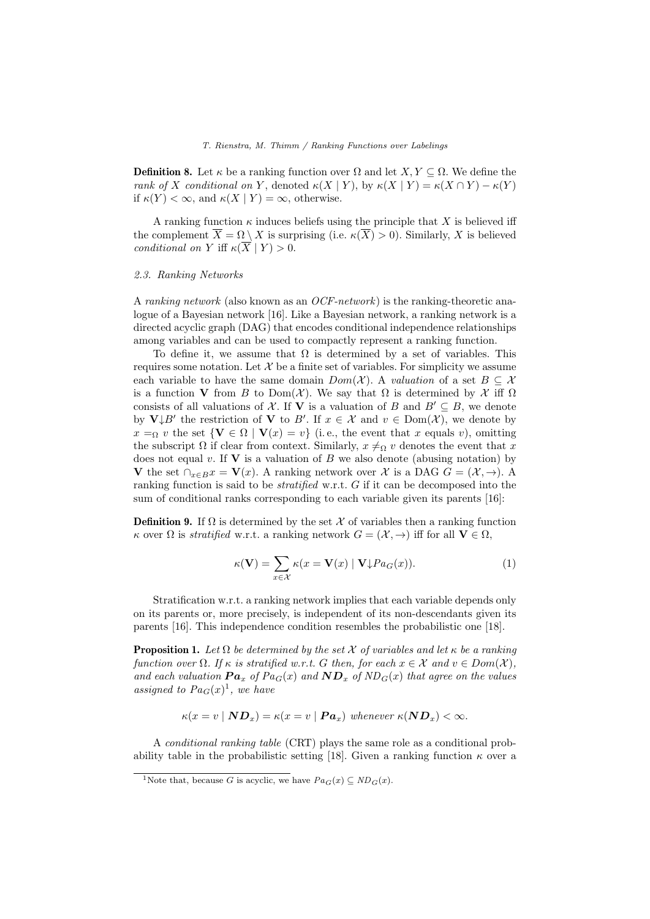**Definition 8.** Let  $\kappa$  be a ranking function over  $\Omega$  and let  $X, Y \subseteq \Omega$ . We define the rank of X conditional on Y, denoted  $\kappa(X | Y)$ , by  $\kappa(X | Y) = \kappa(X \cap Y) - \kappa(Y)$ if  $\kappa(Y) < \infty$ , and  $\kappa(X | Y) = \infty$ , otherwise.

A ranking function  $\kappa$  induces beliefs using the principle that X is believed iff the complement  $\overline{X} = \Omega \setminus X$  is surprising (i.e.  $\kappa(\overline{X}) > 0$ ). Similarly, X is believed conditional on Y iff  $\kappa(\overline{X} | Y) > 0$ .

#### 2.3. Ranking Networks

A ranking network (also known as an OCF-network) is the ranking-theoretic analogue of a Bayesian network [16]. Like a Bayesian network, a ranking network is a directed acyclic graph (DAG) that encodes conditional independence relationships among variables and can be used to compactly represent a ranking function.

To define it, we assume that  $\Omega$  is determined by a set of variables. This requires some notation. Let  $\mathcal X$  be a finite set of variables. For simplicity we assume each variable to have the same domain  $Dom(X)$ . A valuation of a set  $B \subseteq X$ is a function V from B to Dom(X). We say that  $\Omega$  is determined by X iff  $\Omega$ consists of all valuations of X. If V is a valuation of B and  $B' \subseteq B$ , we denote by  $V \downarrow B'$  the restriction of V to B'. If  $x \in \mathcal{X}$  and  $v \in Dom(\mathcal{X})$ , we denote by  $x =_{\Omega} v$  the set  $\{V \in \Omega \mid V(x) = v\}$  (i.e., the event that x equals v), omitting the subscript  $\Omega$  if clear from context. Similarly,  $x \neq_{\Omega} v$  denotes the event that x does not equal v. If  $V$  is a valuation of  $B$  we also denote (abusing notation) by V the set  $\bigcap_{x\in B}x = V(x)$ . A ranking network over X is a DAG  $G = (\mathcal{X}, \rightarrow)$ . A ranking function is said to be *stratified* w.r.t. G if it can be decomposed into the sum of conditional ranks corresponding to each variable given its parents [16]:

**Definition 9.** If  $\Omega$  is determined by the set X of variables then a ranking function κ over  $\Omega$  is *stratified* w.r.t. a ranking network  $G = (\mathcal{X}, \rightarrow)$  iff for all  $\mathbf{V} \in \Omega$ ,

$$
\kappa(\mathbf{V}) = \sum_{x \in \mathcal{X}} \kappa(x = \mathbf{V}(x) \mid \mathbf{V} \downarrow Pa_G(x)). \tag{1}
$$

Stratification w.r.t. a ranking network implies that each variable depends only on its parents or, more precisely, is independent of its non-descendants given its parents [16]. This independence condition resembles the probabilistic one [18].

**Proposition 1.** Let  $\Omega$  be determined by the set  $\mathcal X$  of variables and let  $\kappa$  be a ranking function over  $\Omega$ . If  $\kappa$  is stratified w.r.t. G then, for each  $x \in \mathcal{X}$  and  $v \in Dom(\mathcal{X})$ , and each valuation  $\boldsymbol{Pa}_x$  of  $Pa_G(x)$  and  $\boldsymbol{ND}_x$  of  $ND_G(x)$  that agree on the values assigned to  $Pa_G(x)^1$ , we have

$$
\kappa(x = v \mid \mathbf{ND}_x) = \kappa(x = v \mid \mathbf{Pa}_x) \text{ whenever } \kappa(\mathbf{ND}_x) < \infty.
$$

A conditional ranking table (CRT) plays the same role as a conditional probability table in the probabilistic setting [18]. Given a ranking function  $\kappa$  over a

<sup>&</sup>lt;sup>1</sup>Note that, because G is acyclic, we have  $Pa_G(x) \subseteq ND_G(x)$ .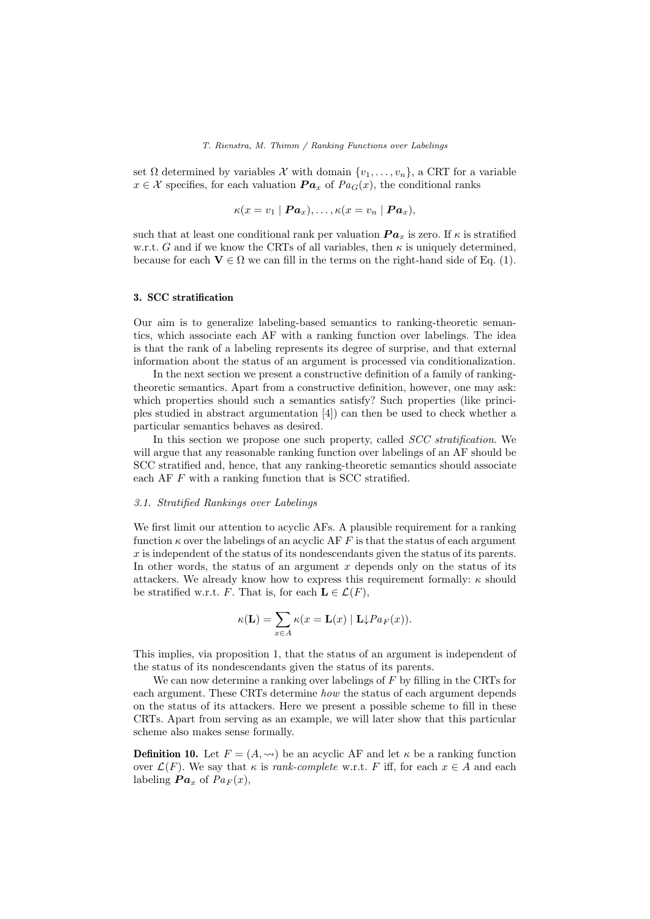set  $\Omega$  determined by variables  $\mathcal X$  with domain  $\{v_1, \ldots, v_n\}$ , a CRT for a variable  $x \in \mathcal{X}$  specifies, for each valuation  $\boldsymbol{Pa}_x$  of  $\boldsymbol{Pa}_G(x)$ , the conditional ranks

$$
\kappa(x = v_1 \mid \boldsymbol{Pa}_x), \ldots, \kappa(x = v_n \mid \boldsymbol{Pa}_x),
$$

such that at least one conditional rank per valuation  $\boldsymbol{Pa}_x$  is zero. If  $\kappa$  is stratified w.r.t. G and if we know the CRTs of all variables, then  $\kappa$  is uniquely determined, because for each  $V \in \Omega$  we can fill in the terms on the right-hand side of Eq. (1).

## 3. SCC stratification

Our aim is to generalize labeling-based semantics to ranking-theoretic semantics, which associate each AF with a ranking function over labelings. The idea is that the rank of a labeling represents its degree of surprise, and that external information about the status of an argument is processed via conditionalization.

In the next section we present a constructive definition of a family of rankingtheoretic semantics. Apart from a constructive definition, however, one may ask: which properties should such a semantics satisfy? Such properties (like principles studied in abstract argumentation [4]) can then be used to check whether a particular semantics behaves as desired.

In this section we propose one such property, called *SCC stratification*. We will argue that any reasonable ranking function over labelings of an AF should be SCC stratified and, hence, that any ranking-theoretic semantics should associate each AF F with a ranking function that is SCC stratified.

#### 3.1. Stratified Rankings over Labelings

We first limit our attention to acyclic AFs. A plausible requirement for a ranking function  $\kappa$  over the labelings of an acyclic AF F is that the status of each argument x is independent of the status of its nondescendants given the status of its parents. In other words, the status of an argument  $x$  depends only on the status of its attackers. We already know how to express this requirement formally:  $\kappa$  should be stratified w.r.t. F. That is, for each  $\mathbf{L} \in \mathcal{L}(F)$ ,

$$
\kappa(\mathbf{L}) = \sum_{x \in A} \kappa(x = \mathbf{L}(x) | \mathbf{L} \downarrow Pa_F(x)).
$$

This implies, via proposition 1, that the status of an argument is independent of the status of its nondescendants given the status of its parents.

We can now determine a ranking over labelings of  $F$  by filling in the CRTs for each argument. These CRTs determine how the status of each argument depends on the status of its attackers. Here we present a possible scheme to fill in these CRTs. Apart from serving as an example, we will later show that this particular scheme also makes sense formally.

**Definition 10.** Let  $F = (A, \leadsto)$  be an acyclic AF and let  $\kappa$  be a ranking function over  $\mathcal{L}(F)$ . We say that  $\kappa$  is *rank-complete* w.r.t. F iff, for each  $x \in A$  and each labeling  $\boldsymbol{Pa}_x$  of  $\boldsymbol{Pa}_F(x)$ ,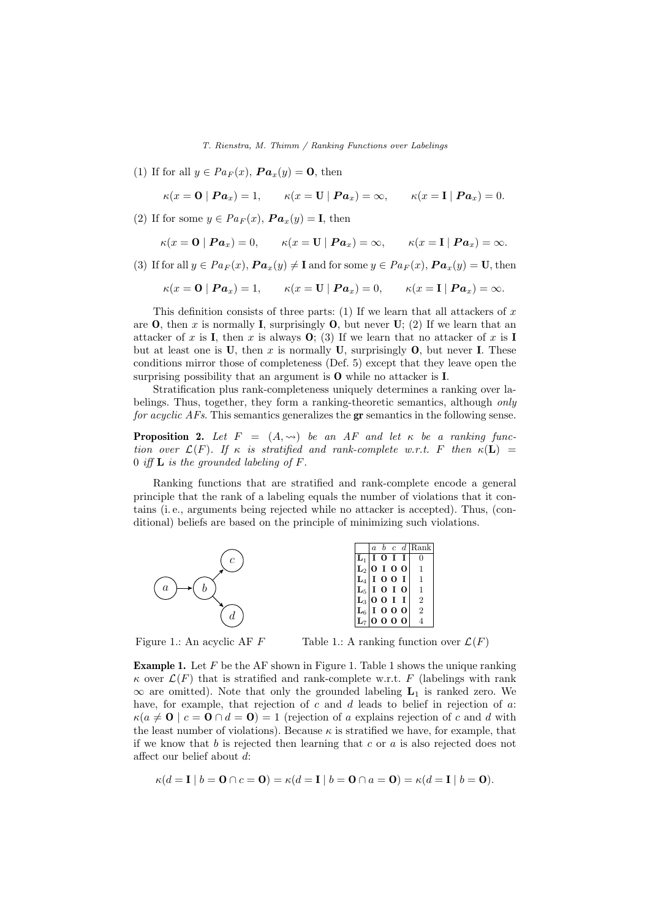(1) If for all  $y \in Pa_F(x)$ ,  $\boldsymbol{Pa}_x(y) = \mathbf{0}$ , then

 $\kappa(x = 0 | Pa_x) = 1,$   $\kappa(x = U | Pa_x) = \infty,$   $\kappa(x = I | Pa_x) = 0.$ 

(2) If for some  $y \in Pa_F(x)$ ,  $\boldsymbol{Pa}_x(y) = \mathbf{I}$ , then

$$
\kappa(x = \mathbf{0} | \mathbf{Pa}_x) = 0, \qquad \kappa(x = \mathbf{U} | \mathbf{Pa}_x) = \infty, \qquad \kappa(x = \mathbf{I} | \mathbf{Pa}_x) = \infty.
$$

(3) If for all  $y \in Pa_F(x)$ ,  $\boldsymbol{Pa}_x(y) \neq \mathbf{I}$  and for some  $y \in Pa_F(x)$ ,  $\boldsymbol{Pa}_x(y) = \mathbf{U}$ , then

$$
\kappa(x = 0 | Pa_x) = 1,
$$
  $\kappa(x = U | Pa_x) = 0,$   $\kappa(x = I | Pa_x) = \infty.$ 

This definition consists of three parts: (1) If we learn that all attackers of  $x$ are **O**, then x is normally **I**, surprisingly **O**, but never **U**; (2) If we learn that an attacker of x is I, then x is always  $\mathbf{O}$ ; (3) If we learn that no attacker of x is I but at least one is U, then x is normally U, surprisingly  $\mathbf{0}$ , but never I. These conditions mirror those of completeness (Def. 5) except that they leave open the surprising possibility that an argument is O while no attacker is I.

Stratification plus rank-completeness uniquely determines a ranking over labelings. Thus, together, they form a ranking-theoretic semantics, although only for acyclic AFs. This semantics generalizes the gr semantics in the following sense.

**Proposition 2.** Let  $F = (A, \leadsto)$  be an AF and let  $\kappa$  be a ranking function over  $\mathcal{L}(F)$ . If  $\kappa$  is stratified and rank-complete w.r.t. F then  $\kappa(L)$  = 0 iff  $\bf{L}$  is the grounded labeling of  $\bf{F}$ .

Ranking functions that are stratified and rank-complete encode a general principle that the rank of a labeling equals the number of violations that it contains (i. e., arguments being rejected while no attacker is accepted). Thus, (conditional) beliefs are based on the principle of minimizing such violations.



Figure 1.: An acyclic AF F

Table 1.: A ranking function over  $\mathcal{L}(F)$ 

**Example 1.** Let  $F$  be the AF shown in Figure 1. Table 1 shows the unique ranking  $\kappa$  over  $\mathcal{L}(F)$  that is stratified and rank-complete w.r.t. F (labelings with rank  $\infty$  are omitted). Note that only the grounded labeling  $L_1$  is ranked zero. We have, for example, that rejection of  $c$  and  $d$  leads to belief in rejection of  $a$ :  $\kappa(a \neq 0 \mid c = 0 \cap d = 0) = 1$  (rejection of a explains rejection of c and d with the least number of violations). Because  $\kappa$  is stratified we have, for example, that if we know that b is rejected then learning that c or  $a$  is also rejected does not affect our belief about d:

$$
\kappa(d=\mathbf{I} \mid b=\mathbf{0} \cap c=\mathbf{0}) = \kappa(d=\mathbf{I} \mid b=\mathbf{0} \cap a=\mathbf{0}) = \kappa(d=\mathbf{I} \mid b=\mathbf{0}).
$$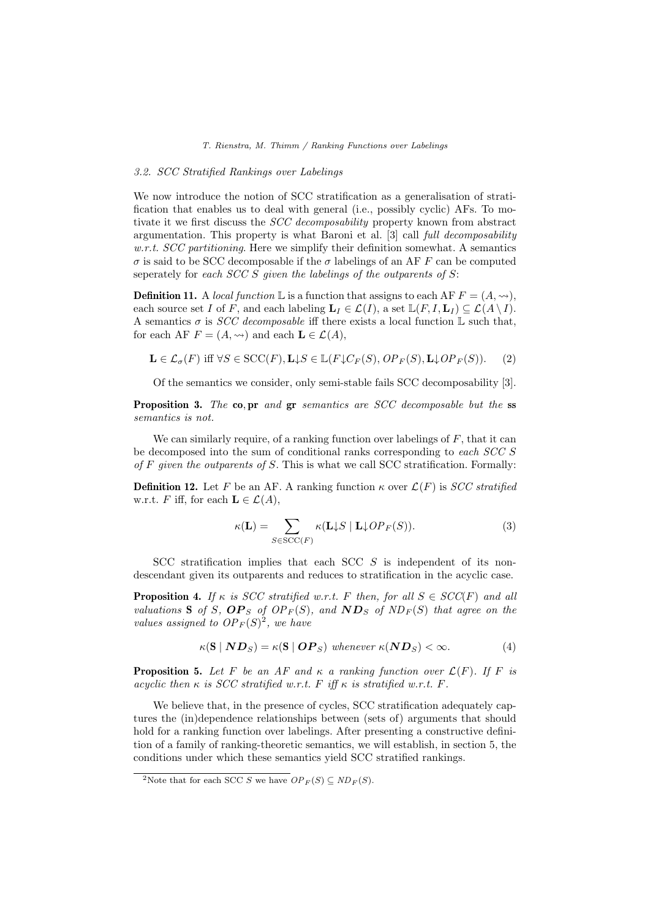# 3.2. SCC Stratified Rankings over Labelings

We now introduce the notion of SCC stratification as a generalisation of stratification that enables us to deal with general (i.e., possibly cyclic) AFs. To motivate it we first discuss the SCC decomposability property known from abstract argumentation. This property is what Baroni et al. [3] call full decomposability  $w.r.t.$  SCC partitioning. Here we simplify their definition somewhat. A semantics σ is said to be SCC decomposable if the σ labelings of an AF F can be computed seperately for each  $SCC S$  given the labelings of the outparents of  $S$ :

**Definition 11.** A local function  $\mathbb{L}$  is a function that assigns to each AF  $F = (A, \rightarrow)$ , each source set I of F, and each labeling  $\mathbf{L}_I \in \mathcal{L}(I)$ , a set  $\mathbb{L}(F, I, \mathbf{L}_I) \subseteq \mathcal{L}(A \setminus I)$ . A semantics  $\sigma$  is *SCC decomposable* iff there exists a local function  $\mathbb{L}$  such that, for each AF  $F = (A, \leadsto)$  and each  $\mathbf{L} \in \mathcal{L}(A)$ ,

$$
\mathbf{L} \in \mathcal{L}_{\sigma}(F) \text{ iff } \forall S \in \text{SCC}(F), \mathbf{L} \downarrow S \in \mathbb{L}(F \downarrow C_F(S), \, OP_F(S), \mathbf{L} \downarrow OP_F(S)). \tag{2}
$$

Of the semantics we consider, only semi-stable fails SCC decomposability [3].

Proposition 3. The co, pr and gr semantics are SCC decomposable but the ss semantics is not.

We can similarly require, of a ranking function over labelings of  $F$ , that it can be decomposed into the sum of conditional ranks corresponding to each SCC S of  $F$  given the outparents of  $S$ . This is what we call SCC stratification. Formally:

**Definition 12.** Let F be an AF. A ranking function  $\kappa$  over  $\mathcal{L}(F)$  is *SCC stratified* w.r.t. F iff, for each  $\mathbf{L} \in \mathcal{L}(A)$ ,

$$
\kappa(\mathbf{L}) = \sum_{S \in \text{SCC}(F)} \kappa(\mathbf{L} \downarrow S \mid \mathbf{L} \downarrow OP_F(S)). \tag{3}
$$

SCC stratification implies that each SCC S is independent of its nondescendant given its outparents and reduces to stratification in the acyclic case.

**Proposition 4.** If  $\kappa$  is SCC stratified w.r.t. F then, for all  $S \in SCC(F)$  and all valuations S of S,  $OP_S$  of  $OP_F(S)$ , and  $ND_S$  of  $ND_F(S)$  that agree on the values assigned to  $OP_F(S)^2$ , we have

$$
\kappa(\mathbf{S} \mid \mathbf{N} \mathbf{D}_S) = \kappa(\mathbf{S} \mid \mathbf{O} \mathbf{P}_S) \text{ whenever } \kappa(\mathbf{N} \mathbf{D}_S) < \infty. \tag{4}
$$

**Proposition 5.** Let F be an AF and  $\kappa$  a ranking function over  $\mathcal{L}(F)$ . If F is acyclic then  $\kappa$  is SCC stratified w.r.t. F iff  $\kappa$  is stratified w.r.t. F.

We believe that, in the presence of cycles, SCC stratification adequately captures the (in)dependence relationships between (sets of) arguments that should hold for a ranking function over labelings. After presenting a constructive definition of a family of ranking-theoretic semantics, we will establish, in section 5, the conditions under which these semantics yield SCC stratified rankings.

<sup>&</sup>lt;sup>2</sup>Note that for each SCC S we have  $OP_F(S) \subseteq ND_F(S)$ .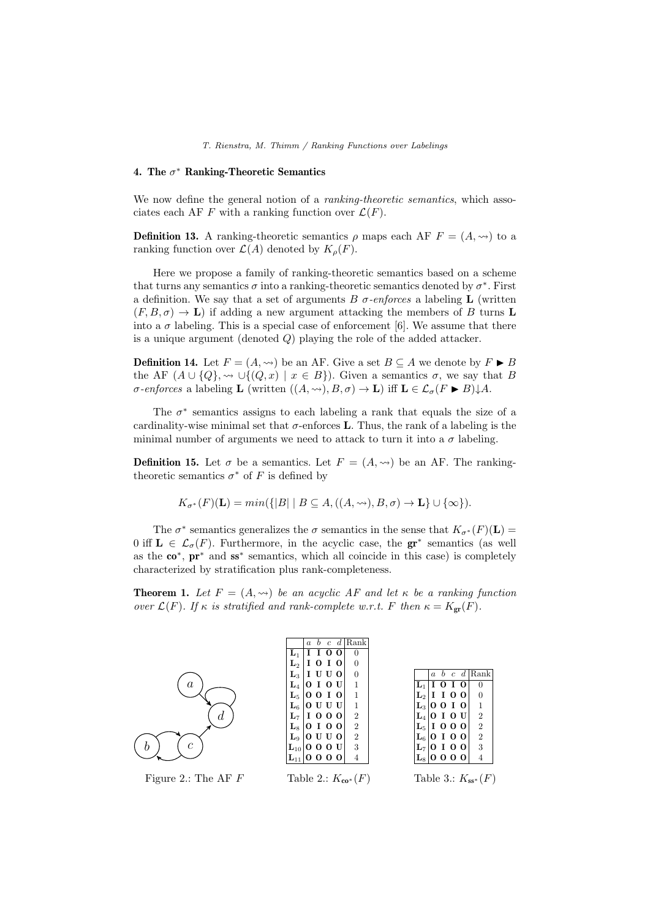# 4. The  $\sigma^*$  Ranking-Theoretic Semantics

We now define the general notion of a *ranking-theoretic semantics*, which associates each AF F with a ranking function over  $\mathcal{L}(F)$ .

**Definition 13.** A ranking-theoretic semantics  $\rho$  maps each AF  $F = (A, \leadsto)$  to a ranking function over  $\mathcal{L}(A)$  denoted by  $K_{\rho}(F)$ .

Here we propose a family of ranking-theoretic semantics based on a scheme that turns any semantics  $\sigma$  into a ranking-theoretic semantics denoted by  $\sigma^*$ . First a definition. We say that a set of arguments  $B \sigma$ -enforces a labeling **L** (written  $(F, B, \sigma) \to \mathbf{L}$  if adding a new argument attacking the members of B turns L into a  $\sigma$  labeling. This is a special case of enforcement [6]. We assume that there is a unique argument (denoted  $Q$ ) playing the role of the added attacker.

**Definition 14.** Let  $F = (A, \leadsto)$  be an AF. Give a set  $B \subseteq A$  we denote by  $F \triangleright B$ the AF  $(A \cup \{Q\}, \rightsquigarrow \cup \{(Q, x) \mid x \in B\})$ . Given a semantics  $\sigma$ , we say that B  $\sigma$ -enforces a labeling **L** (written  $((A, \leadsto), B, \sigma) \to \mathbf{L}$ ) iff  $\mathbf{L} \in \mathcal{L}_{\sigma}(F \triangleright B) \downarrow A$ .

The  $\sigma^*$  semantics assigns to each labeling a rank that equals the size of a cardinality-wise minimal set that  $\sigma$ -enforces **L**. Thus, the rank of a labeling is the minimal number of arguments we need to attack to turn it into a  $\sigma$  labeling.

**Definition 15.** Let  $\sigma$  be a semantics. Let  $F = (A, \leadsto)$  be an AF. The rankingtheoretic semantics  $\sigma^*$  of F is defined by

$$
K_{\sigma^*}(F)(\mathbf{L}) = min(\{|B| \mid B \subseteq A, ((A, \leadsto), B, \sigma) \to \mathbf{L}\} \cup \{\infty\}).
$$

The  $\sigma^*$  semantics generalizes the  $\sigma$  semantics in the sense that  $K_{\sigma^*}(F)(\mathbf{L}) =$ 0 iff  $\mathbf{L} \in \mathcal{L}_{\sigma}(F)$ . Furthermore, in the acyclic case, the  $gr^*$  semantics (as well as the co<sup>∗</sup> , pr<sup>∗</sup> and ss<sup>∗</sup> semantics, which all coincide in this case) is completely characterized by stratification plus rank-completeness.

**Theorem 1.** Let  $F = (A, \leadsto)$  be an acyclic AF and let  $\kappa$  be a ranking function over  $\mathcal{L}(F)$ . If  $\kappa$  is stratified and rank-complete w.r.t. F then  $\kappa = K_{\text{gr}}(F)$ .

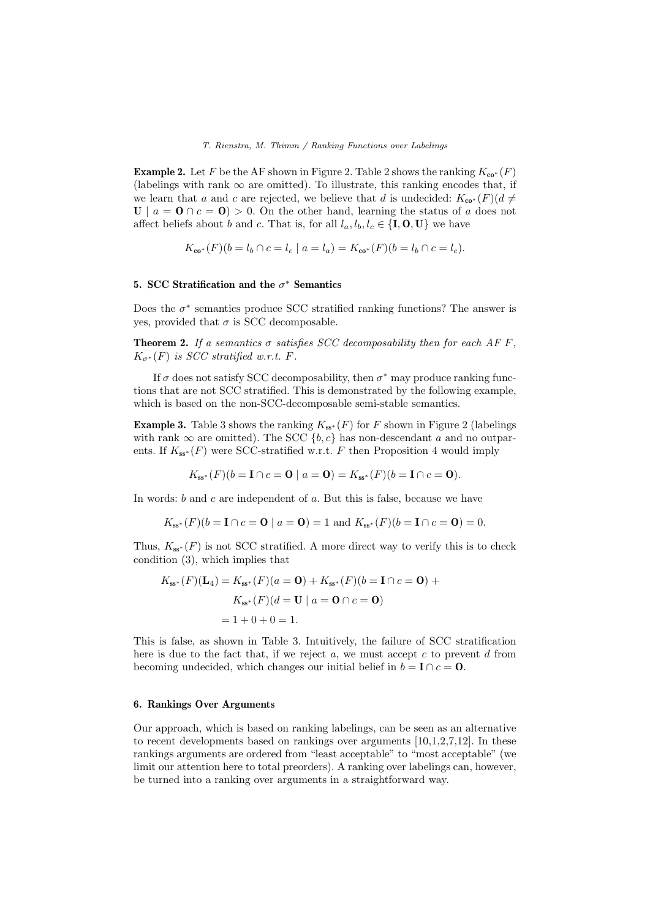**Example 2.** Let F be the AF shown in Figure 2. Table 2 shows the ranking  $K_{\mathbf{co}^*}(F)$ (labelings with rank  $\infty$  are omitted). To illustrate, this ranking encodes that, if we learn that a and c are rejected, we believe that d is undecided:  $K_{\mathbf{co}^*}(F)(d\neq 0)$  $U \mid a = 0 \cap c = 0$  > 0. On the other hand, learning the status of a does not affect beliefs about b and c. That is, for all  $l_a, l_b, l_c \in \{\mathbf{I}, \mathbf{O}, \mathbf{U}\}\)$  we have

$$
K_{\mathbf{co}^*}(F)(b = l_b \cap c = l_c \mid a = l_a) = K_{\mathbf{co}^*}(F)(b = l_b \cap c = l_c).
$$

# 5. SCC Stratification and the  $\sigma^*$  Semantics

Does the  $\sigma^*$  semantics produce SCC stratified ranking functions? The answer is yes, provided that  $\sigma$  is SCC decomposable.

**Theorem 2.** If a semantics  $\sigma$  satisfies SCC decomposability then for each AF F,  $K_{\sigma^*}(F)$  is SCC stratified w.r.t. F.

If  $\sigma$  does not satisfy SCC decomposability, then  $\sigma^*$  may produce ranking functions that are not SCC stratified. This is demonstrated by the following example, which is based on the non-SCC-decomposable semi-stable semantics.

**Example 3.** Table 3 shows the ranking  $K_{ss^*}(F)$  for F shown in Figure 2 (labelings with rank  $\infty$  are omitted). The SCC {b, c} has non-descendant a and no outparents. If  $K_{ss^*}(F)$  were SCC-stratified w.r.t. F then Proposition 4 would imply

$$
K_{ss^*}(F)(b=I \cap c=0 \mid a=0) = K_{ss^*}(F)(b=I \cap c=0).
$$

In words: b and c are independent of a. But this is false, because we have

$$
K_{ss^*}(F)(b = I \cap c = 0 | a = 0) = 1
$$
 and  $K_{ss^*}(F)(b = I \cap c = 0) = 0$ .

Thus,  $K_{ss^*}(F)$  is not SCC stratified. A more direct way to verify this is to check condition (3), which implies that

$$
K_{ss^*}(F)(\mathbf{L}_4) = K_{ss^*}(F)(a = \mathbf{0}) + K_{ss^*}(F)(b = \mathbf{I} \cap c = \mathbf{0}) + K_{ss^*}(F)(d = \mathbf{U} \mid a = \mathbf{0} \cap c = \mathbf{0})
$$
  
= 1 + 0 + 0 = 1.

This is false, as shown in Table 3. Intuitively, the failure of SCC stratification here is due to the fact that, if we reject  $a$ , we must accept  $c$  to prevent  $d$  from becoming undecided, which changes our initial belief in  $b = I \cap c = 0$ .

### 6. Rankings Over Arguments

Our approach, which is based on ranking labelings, can be seen as an alternative to recent developments based on rankings over arguments [10,1,2,7,12]. In these rankings arguments are ordered from "least acceptable" to "most acceptable" (we limit our attention here to total preorders). A ranking over labelings can, however, be turned into a ranking over arguments in a straightforward way.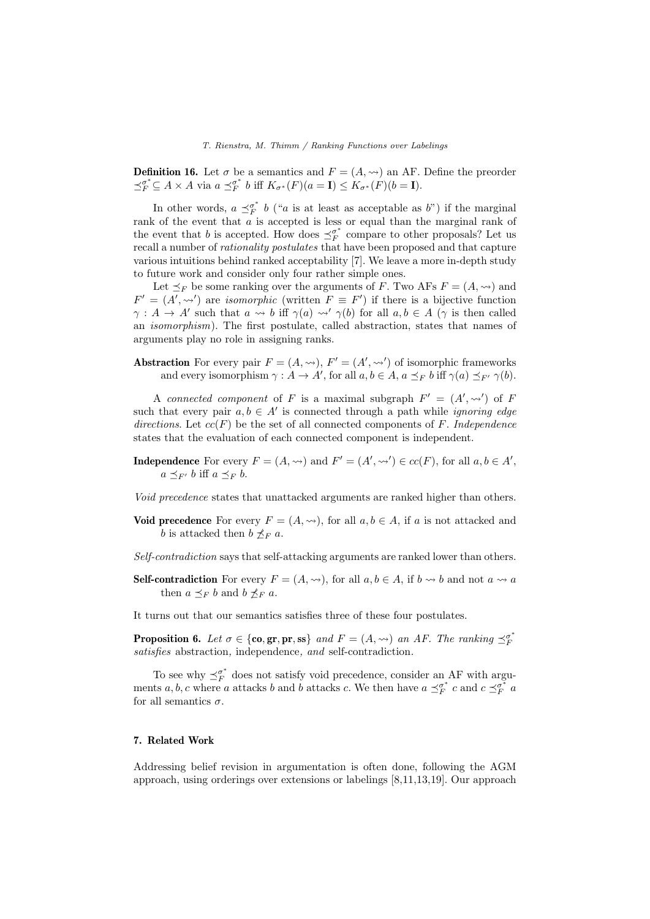**Definition 16.** Let  $\sigma$  be a semantics and  $F = (A, \leadsto)$  an AF. Define the preorder  $\preceq_F^{\sigma^*} \subseteq A \times A$  via  $a \preceq_F^{\sigma^*} b$  iff  $K_{\sigma^*}(F)(a = \mathbf{I}) \leq K_{\sigma^*}(F)(b = \mathbf{I}).$ 

In other words,  $a \preceq^{\sigma^*}_{F} b$  ("a is at least as acceptable as b") if the marginal rank of the event that a is accepted is less or equal than the marginal rank of the event that b is accepted. How does  $\preceq_F^{\sigma^*}$  compare to other proposals? Let us recall a number of rationality postulates that have been proposed and that capture various intuitions behind ranked acceptability [7]. We leave a more in-depth study to future work and consider only four rather simple ones.

Let  $\preceq_F$  be some ranking over the arguments of F. Two AFs  $F = (A, \leadsto)$  and  $F' = (A', \leadsto')$  are *isomorphic* (written  $F \equiv F'$ ) if there is a bijective function  $\gamma: A \to A'$  such that  $a \leadsto b$  iff  $\gamma(a) \leadsto' \gamma(b)$  for all  $a, b \in A$  ( $\gamma$  is then called an isomorphism). The first postulate, called abstraction, states that names of arguments play no role in assigning ranks.

**Abstraction** For every pair  $F = (A, \rightarrow)$ ,  $F' = (A', \rightarrow')$  of isomorphic frameworks and every isomorphism  $\gamma : A \to A'$ , for all  $a, b \in A$ ,  $a \preceq_F b$  iff  $\gamma(a) \preceq_{F'} \gamma(b)$ .

A connected component of F is a maximal subgraph  $F' = (A', \leadsto')$  of F such that every pair  $a, b \in A'$  is connected through a path while *ignoring edge* directions. Let  $cc(F)$  be the set of all connected components of F. Independence states that the evaluation of each connected component is independent.

**Independence** For every  $F = (A, \leadsto)$  and  $F' = (A', \leadsto') \in cc(F)$ , for all  $a, b \in A'$ ,  $a \preceq_{F'} b$  iff  $a \preceq_F b$ .

Void precedence states that unattacked arguments are ranked higher than others.

- Void precedence For every  $F = (A, \leadsto)$ , for all  $a, b \in A$ , if a is not attacked and b is attacked then  $b \npreceq_F a$ .
- Self-contradiction says that self-attacking arguments are ranked lower than others.
- **Self-contradiction** For every  $F = (A, \leadsto)$ , for all  $a, b \in A$ , if  $b \leadsto b$  and not  $a \leadsto a$ then  $a \preceq_F b$  and  $b \npreceq_F a$ .

It turns out that our semantics satisfies three of these four postulates.

**Proposition 6.** Let  $\sigma \in \{\textbf{co}, \textbf{gr}, \textbf{pr}, \textbf{ss}\}\$  and  $F = (A, \leadsto)$  an AF. The ranking  $\preceq_F^{\sigma^*}$ satisfies abstraction, independence, and self-contradiction.

To see why  $\preceq^{\sigma^*}_F$  does not satisfy void precedence, consider an AF with arguments a, b, c where a attacks b and b attacks c. We then have  $a \preceq_F^{\sigma^*} c$  and  $c \preceq_F^{\sigma^*} a$ for all semantics  $\sigma$ .

## 7. Related Work

Addressing belief revision in argumentation is often done, following the AGM approach, using orderings over extensions or labelings [8,11,13,19]. Our approach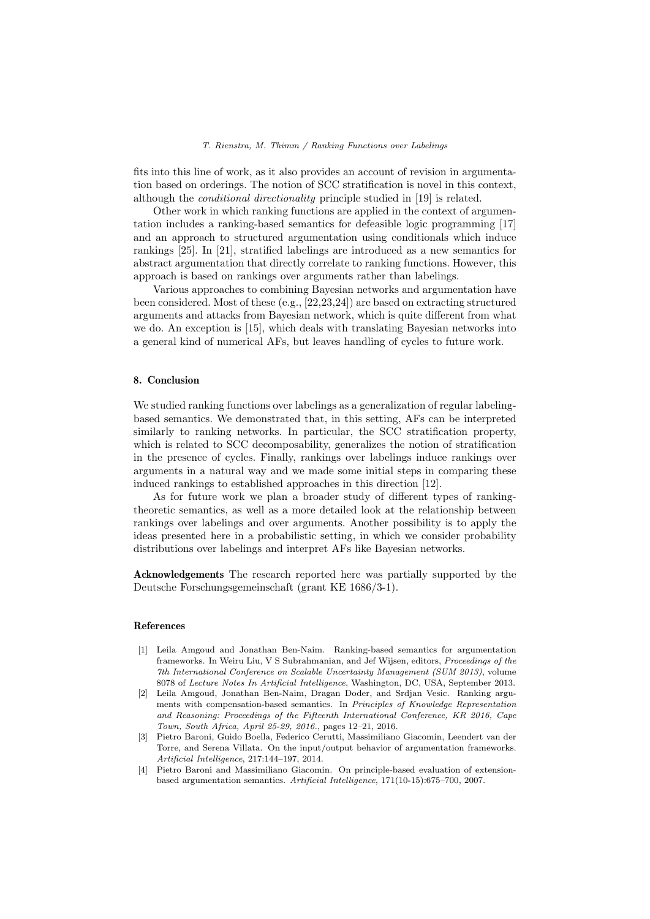fits into this line of work, as it also provides an account of revision in argumentation based on orderings. The notion of SCC stratification is novel in this context, although the conditional directionality principle studied in [19] is related.

Other work in which ranking functions are applied in the context of argumentation includes a ranking-based semantics for defeasible logic programming [17] and an approach to structured argumentation using conditionals which induce rankings [25]. In [21], stratified labelings are introduced as a new semantics for abstract argumentation that directly correlate to ranking functions. However, this approach is based on rankings over arguments rather than labelings.

Various approaches to combining Bayesian networks and argumentation have been considered. Most of these (e.g., [22,23,24]) are based on extracting structured arguments and attacks from Bayesian network, which is quite different from what we do. An exception is [15], which deals with translating Bayesian networks into a general kind of numerical AFs, but leaves handling of cycles to future work.

# 8. Conclusion

We studied ranking functions over labelings as a generalization of regular labelingbased semantics. We demonstrated that, in this setting, AFs can be interpreted similarly to ranking networks. In particular, the SCC stratification property, which is related to SCC decomposability, generalizes the notion of stratification in the presence of cycles. Finally, rankings over labelings induce rankings over arguments in a natural way and we made some initial steps in comparing these induced rankings to established approaches in this direction [12].

As for future work we plan a broader study of different types of rankingtheoretic semantics, as well as a more detailed look at the relationship between rankings over labelings and over arguments. Another possibility is to apply the ideas presented here in a probabilistic setting, in which we consider probability distributions over labelings and interpret AFs like Bayesian networks.

Acknowledgements The research reported here was partially supported by the Deutsche Forschungsgemeinschaft (grant KE 1686/3-1).

# References

- [1] Leila Amgoud and Jonathan Ben-Naim. Ranking-based semantics for argumentation frameworks. In Weiru Liu, V S Subrahmanian, and Jef Wijsen, editors, Proceedings of the 7th International Conference on Scalable Uncertainty Management (SUM 2013), volume 8078 of Lecture Notes In Artificial Intelligence, Washington, DC, USA, September 2013.
- [2] Leila Amgoud, Jonathan Ben-Naim, Dragan Doder, and Srdjan Vesic. Ranking arguments with compensation-based semantics. In Principles of Knowledge Representation and Reasoning: Proceedings of the Fifteenth International Conference, KR 2016, Cape Town, South Africa, April 25-29, 2016., pages 12–21, 2016.
- [3] Pietro Baroni, Guido Boella, Federico Cerutti, Massimiliano Giacomin, Leendert van der Torre, and Serena Villata. On the input/output behavior of argumentation frameworks. Artificial Intelligence, 217:144–197, 2014.
- [4] Pietro Baroni and Massimiliano Giacomin. On principle-based evaluation of extensionbased argumentation semantics. Artificial Intelligence, 171(10-15):675–700, 2007.